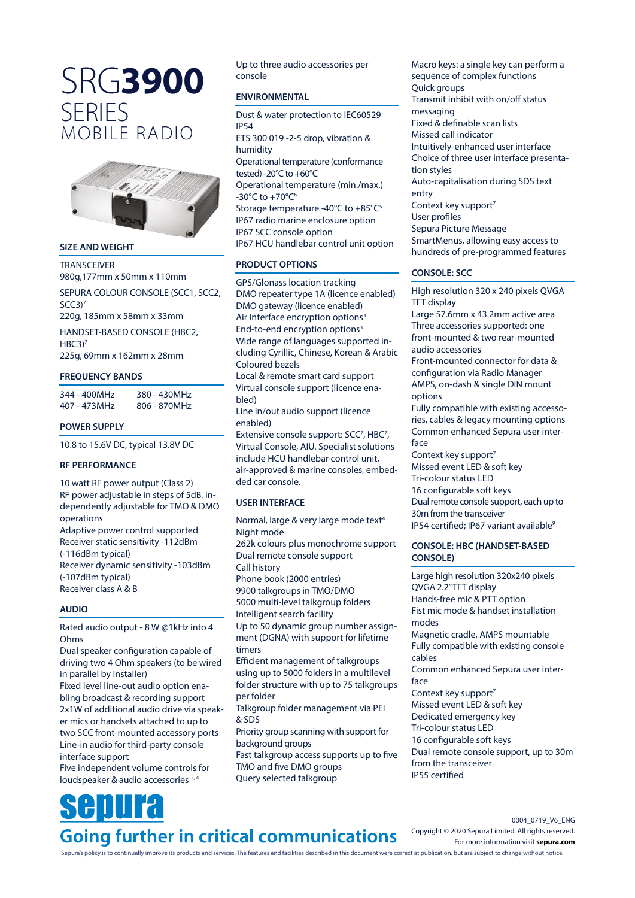# SRG**3900 SERIES** MOBILE RADIO



#### **SIZE AND WEIGHT**

**TRANSCEIVER** 980g,177mm x 50mm x 110mm

SEPURA COLOUR CONSOLE (SCC1, SCC2,  $SCC3$ <sup>7</sup>

220g, 185mm x 58mm x 33mm

HANDSET-BASED CONSOLE (HBC2, HBC3<sup>)7</sup>

225g, 69mm x 162mm x 28mm

## **FREQUENCY BANDS**

344 - 400MHz 380 - 430MHz 407 - 473MHz 806 - 870MHz

## **POWER SUPPLY**

10.8 to 15.6V DC, typical 13.8V DC

## **RF PERFORMANCE**

10 watt RF power output (Class 2) RF power adjustable in steps of 5dB, independently adjustable for TMO & DMO operations Adaptive power control supported

Receiver static sensitivity -112dBm (-116dBm typical) Receiver dynamic sensitivity -103dBm (-107dBm typical) Receiver class A & B

## **AUDIO**

Rated audio output - 8 W @1kHz into 4 Ohms

Dual speaker configuration capable of driving two 4 Ohm speakers (to be wired in parallel by installer)

Fixed level line-out audio option enabling broadcast & recording support 2x1W of additional audio drive via speaker mics or handsets attached to up to two SCC front-mounted accessory ports Line-in audio for third-party console interface support

Five independent volume controls for loudspeaker & audio accessories <sup>2, 4</sup>

Up to three audio accessories per console

## **ENVIRONMENTAL**

Dust & water protection to IEC60529 IP54 ETS 300 019 -2-5 drop, vibration & humidity Operational temperature (conformance tested) -20°C to +60°C Operational temperature (min./max.) -30°C to +70°C6 Storage temperature -40°C to +85°C<sup>5</sup> IP67 radio marine enclosure option IP67 SCC console option IP67 HCU handlebar control unit option

## **PRODUCT OPTIONS**

GPS/Glonass location tracking DMO repeater type 1A (licence enabled) DMO gateway (licence enabled) Air Interface encryption options<sup>3</sup> End-to-end encryption options<sup>3</sup> Wide range of languages supported including Cyrillic, Chinese, Korean & Arabic Coloured bezels Local & remote smart card support Virtual console support (licence enabled) Line in/out audio support (licence enabled) Extensive console support: SCC<sup>7</sup>, HBC<sup>7</sup>, Virtual Console, AIU. Specialist solutions

include HCU handlebar control unit, air-approved & marine consoles, embedded car console.

## **USER INTERFACE**

Normal, large & very large mode text<sup>4</sup> Night mode 262k colours plus monochrome support Dual remote console support Call history Phone book (2000 entries) 9900 talkgroups in TMO/DMO 5000 multi-level talkgroup folders Intelligent search facility Up to 50 dynamic group number assignment (DGNA) with support for lifetime timers Efficient management of talkgroups using up to 5000 folders in a multilevel folder structure with up to 75 talkgroups per folder Talkgroup folder management via PEI & SDS Priority group scanning with support for background groups Fast talkgroup access supports up to five TMO and five DMO groups Query selected talkgroup

Macro keys: a single key can perform a sequence of complex functions Quick groups Transmit inhibit with on/off status messaging Fixed & definable scan lists Missed call indicator Intuitively-enhanced user interface Choice of three user interface presentation styles Auto-capitalisation during SDS text entry Context key support<sup>7</sup> User profiles Sepura Picture Message SmartMenus, allowing easy access to hundreds of pre-programmed features

## **CONSOLE: SCC**

High resolution 320 x 240 pixels QVGA TFT display Large 57.6mm x 43.2mm active area Three accessories supported: one front-mounted & two rear-mounted audio accessories Front-mounted connector for data & configuration via Radio Manager

AMPS, on-dash & single DIN mount options

Fully compatible with existing accessories, cables & legacy mounting options Common enhanced Sepura user interface

Context key support<sup>7</sup> Missed event LED & soft key Tri-colour status LED 16 configurable soft keys Dual remote console support, each up to 30m from the transceiver IP54 certified; IP67 variant available<sup>9</sup>

## **CONSOLE: HBC (HANDSET-BASED CONSOLE)**

Large high resolution 320x240 pixels QVGA 2.2" TFT display Hands-free mic & PTT option Fist mic mode & handset installation modes Magnetic cradle, AMPS mountable Fully compatible with existing console cables Common enhanced Sepura user interface Context key support<sup>7</sup> Missed event LED & soft key Dedicated emergency key Tri-colour status LED 16 configurable soft keys Dual remote console support, up to 30m from the transceiver IP55 certified

## enura **Going further in critical communications**

0004\_0719\_V6\_ENG Copyright © 2020 Sepura Limited. All rights reserved. For more information visit **[sepura.com](https://www.sepura.com/?utm_source=PDF&utm_medium=Datasheet&utm_campaign=SRG3900)**

Sepura's policy is to continually improve its products and services. The features and facilities described in this document were correct at publication, but are subject to change without notice.